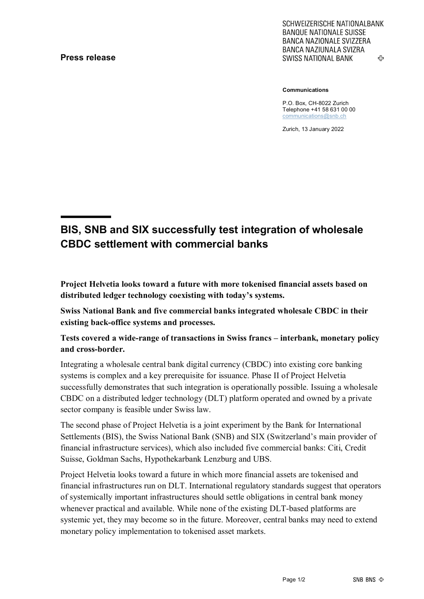## **Press release**

SCHWEIZERISCHE NATIONALBANK **BANQUE NATIONALE SUISSE BANCA NAZIONALE SVIZZERA** BANCA NAZIUNALA SVIZRA 亞 **SWISS NATIONAL BANK** 

**Communications**

P.O. Box, CH-8022 Zurich Telephone +41 58 631 00 00 [communications@snb.ch](mailto:communications@snb.ch)

Zurich, 13 January 2022

## **BIS, SNB and SIX successfully test integration of wholesale CBDC settlement with commercial banks**

**Project Helvetia looks toward a future with more tokenised financial assets based on distributed ledger technology coexisting with today's systems.** 

**Swiss National Bank and five commercial banks integrated wholesale CBDC in their existing back-office systems and processes.** 

## **Tests covered a wide-range of transactions in Swiss francs – interbank, monetary policy and cross-border.**

Integrating a wholesale central bank digital currency (CBDC) into existing core banking systems is complex and a key prerequisite for issuance. Phase II of Project Helvetia successfully demonstrates that such integration is operationally possible. Issuing a wholesale CBDC on a distributed ledger technology (DLT) platform operated and owned by a private sector company is feasible under Swiss law.

The second phase of Project Helvetia is a joint experiment by the Bank for International Settlements (BIS), the Swiss National Bank (SNB) and SIX (Switzerland's main provider of financial infrastructure services), which also included five commercial banks: Citi, Credit Suisse, Goldman Sachs, Hypothekarbank Lenzburg and UBS.

Project Helvetia looks toward a future in which more financial assets are tokenised and financial infrastructures run on DLT. International regulatory standards suggest that operators of systemically important infrastructures should settle obligations in central bank money whenever practical and available. While none of the existing DLT-based platforms are systemic yet, they may become so in the future. Moreover, central banks may need to extend monetary policy implementation to tokenised asset markets.